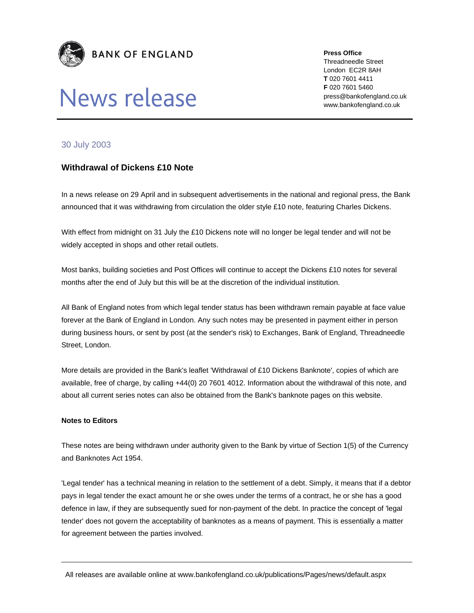

## News release

**Press Office** 

Threadneedle Street London EC2R 8AH **T** 020 7601 4411 **F** 020 7601 5460 press@bankofengland.co.uk www.bankofengland.co.uk

## 30 July 2003

## **Withdrawal of Dickens £10 Note**

In a news release on 29 April and in subsequent advertisements in the national and regional press, the Bank announced that it was withdrawing from circulation the older style £10 note, featuring Charles Dickens.

With effect from midnight on 31 July the £10 Dickens note will no longer be legal tender and will not be widely accepted in shops and other retail outlets.

Most banks, building societies and Post Offices will continue to accept the Dickens £10 notes for several months after the end of July but this will be at the discretion of the individual institution.

All Bank of England notes from which legal tender status has been withdrawn remain payable at face value forever at the Bank of England in London. Any such notes may be presented in payment either in person during business hours, or sent by post (at the sender's risk) to Exchanges, Bank of England, Threadneedle Street, London.

More details are provided in the Bank's leaflet 'Withdrawal of £10 Dickens Banknote', copies of which are available, free of charge, by calling +44(0) 20 7601 4012. Information about the withdrawal of this note, and about all current series notes can also be obtained from the Bank's banknote pages on this website.

## **Notes to Editors**

These notes are being withdrawn under authority given to the Bank by virtue of Section 1(5) of the Currency and Banknotes Act 1954.

'Legal tender' has a technical meaning in relation to the settlement of a debt. Simply, it means that if a debtor pays in legal tender the exact amount he or she owes under the terms of a contract, he or she has a good defence in law, if they are subsequently sued for non-payment of the debt. In practice the concept of 'legal tender' does not govern the acceptability of banknotes as a means of payment. This is essentially a matter for agreement between the parties involved.